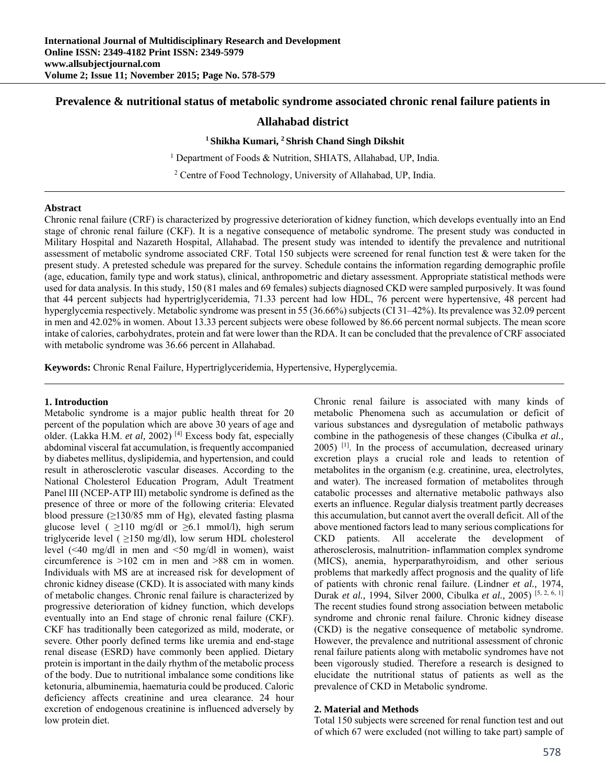# **Prevalence & nutritional status of metabolic syndrome associated chronic renal failure patients in**

## **Allahabad district**

#### **1 Shikha Kumari, 2 Shrish Chand Singh Dikshit**

<sup>1</sup> Department of Foods & Nutrition, SHIATS, Allahabad, UP, India.

2 Centre of Food Technology, University of Allahabad, UP, India.

#### **Abstract**

Chronic renal failure (CRF) is characterized by progressive deterioration of kidney function, which develops eventually into an End stage of chronic renal failure (CKF). It is a negative consequence of metabolic syndrome. The present study was conducted in Military Hospital and Nazareth Hospital, Allahabad. The present study was intended to identify the prevalence and nutritional assessment of metabolic syndrome associated CRF. Total 150 subjects were screened for renal function test & were taken for the present study. A pretested schedule was prepared for the survey. Schedule contains the information regarding demographic profile (age, education, family type and work status), clinical, anthropometric and dietary assessment. Appropriate statistical methods were used for data analysis. In this study, 150 (81 males and 69 females) subjects diagnosed CKD were sampled purposively. It was found that 44 percent subjects had hypertriglyceridemia, 71.33 percent had low HDL, 76 percent were hypertensive, 48 percent had hyperglycemia respectively. Metabolic syndrome was present in 55 (36.66%) subjects (CI 31–42%). Its prevalence was 32.09 percent in men and 42.02% in women. About 13.33 percent subjects were obese followed by 86.66 percent normal subjects. The mean score intake of calories, carbohydrates, protein and fat were lower than the RDA. It can be concluded that the prevalence of CRF associated with metabolic syndrome was 36.66 percent in Allahabad.

**Keywords:** Chronic Renal Failure, Hypertriglyceridemia, Hypertensive, Hyperglycemia.

### **1. Introduction**

Metabolic syndrome is a major public health threat for 20 percent of the population which are above 30 years of age and older. (Lakka H.M. *et al,* 2002) [4] Excess body fat, especially abdominal visceral fat accumulation, is frequently accompanied by diabetes mellitus, dyslipidemia, and hypertension, and could result in atherosclerotic vascular diseases. According to the National Cholesterol Education Program, Adult Treatment Panel III (NCEP-ATP III) metabolic syndrome is defined as the presence of three or more of the following criteria: Elevated blood pressure  $(≥130/85$  mm of Hg), elevated fasting plasma glucose level ( $\geq$ 110 mg/dl or  $\geq$ 6.1 mmol/l), high serum triglyceride level ( $\geq$ 150 mg/dl), low serum HDL cholesterol level (<40 mg/dl in men and <50 mg/dl in women), waist circumference is >102 cm in men and >88 cm in women. Individuals with MS are at increased risk for development of chronic kidney disease (CKD). It is associated with many kinds of metabolic changes. Chronic renal failure is characterized by progressive deterioration of kidney function, which develops eventually into an End stage of chronic renal failure (CKF). CKF has traditionally been categorized as mild, moderate, or severe. Other poorly defined terms like uremia and end-stage renal disease (ESRD) have commonly been applied. Dietary protein is important in the daily rhythm of the metabolic process of the body. Due to nutritional imbalance some conditions like ketonuria, albuminemia, haematuria could be produced. Caloric deficiency affects creatinine and urea clearance. 24 hour excretion of endogenous creatinine is influenced adversely by low protein diet.

Chronic renal failure is associated with many kinds of metabolic Phenomena such as accumulation or deficit of various substances and dysregulation of metabolic pathways combine in the pathogenesis of these changes (Cibulka *et al.,* 2005) [1]. In the process of accumulation, decreased urinary excretion plays a crucial role and leads to retention of metabolites in the organism (e.g. creatinine, urea, electrolytes, and water). The increased formation of metabolites through catabolic processes and alternative metabolic pathways also exerts an influence. Regular dialysis treatment partly decreases this accumulation, but cannot avert the overall deficit. All of the above mentioned factors lead to many serious complications for CKD patients. All accelerate the development of atherosclerosis, malnutrition- inflammation complex syndrome (MICS), anemia, hyperparathyroidism, and other serious problems that markedly affect prognosis and the quality of life of patients with chronic renal failure. (Lindner *et al.,* 1974, Durak *et al.,* 1994, Silver 2000, Cibulka *et al.,* 2005) [5, 2, 6, 1] The recent studies found strong association between metabolic syndrome and chronic renal failure. Chronic kidney disease (CKD) is the negative consequence of metabolic syndrome. However, the prevalence and nutritional assessment of chronic renal failure patients along with metabolic syndromes have not been vigorously studied. Therefore a research is designed to elucidate the nutritional status of patients as well as the prevalence of CKD in Metabolic syndrome.

#### **2. Material and Methods**

Total 150 subjects were screened for renal function test and out of which 67 were excluded (not willing to take part) sample of